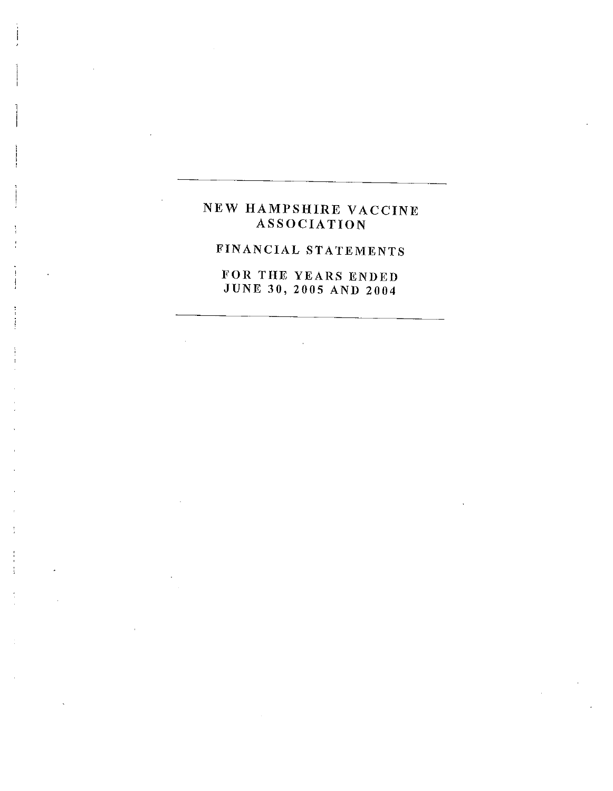# NEW HAMPSHIRE VACCINE ASSOCIATION

# FINANCIAL STATEMENTS

FOR THE YEARS ENDED JUNE 30, 2005 AND 2004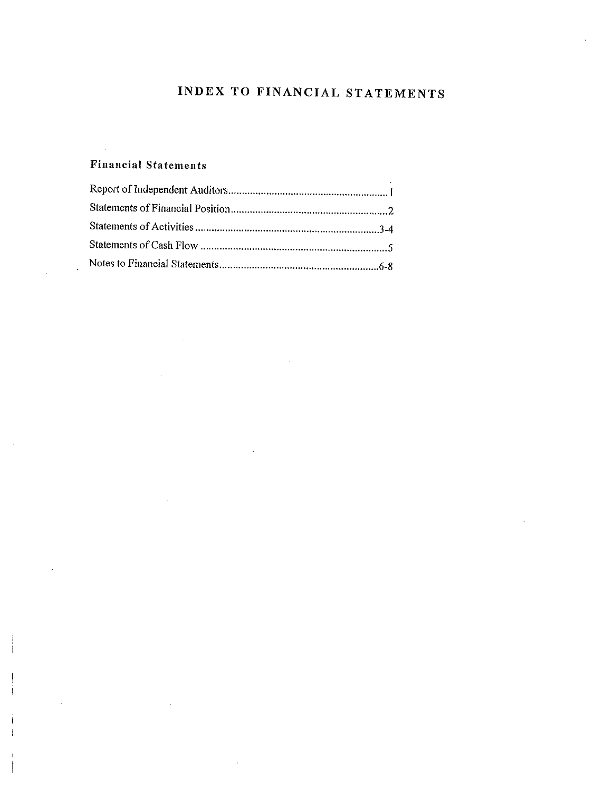# INDEX TO FINANCIAL STATEMENTS

# Financial Statements

 $\bar{\beta}$ 

 $\mathcal{A}$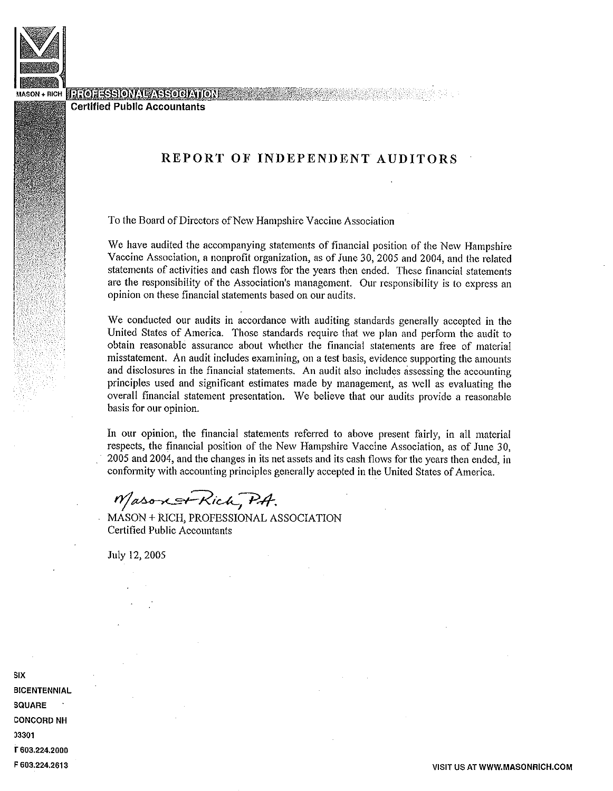

#### **EFOLESSIONAL ASSOCIATION**

Certified Public Accountants

## REPORT OF INDEPENDENT AUDITORS

To the Board of Directors of New Hampshire Vaccine Association

We have audited the accompanying statements of financial position of the New Hampshire Vaccine Association, a nonprofit organization, as of June 30, 2005 and 2004, and the related statements of activities and cash flows for the years then ended. These financial statements are the responsibility of the Association's management. Our responsibility is to express an opinion on these financial statements based on our audits.

We conducted our audits in accordance with auditing standards generally accepted in the United States of America. Those standards require that we plan and perform the audit to obtain reasonable assurance about whether the financial statements are free of material misstatement. An audit includes examining, on a test basis, evidence supporting the amounts and disclosures in the financial statements. An audit also includes assessing the accounting principles used and significant estimates made by management, as well as evaluating the overall financial statement presentation. We believe that our audits provide a reasonable basis for our opinion.

In our opinion, the financial statements referred to above present fairly, in all material respects, the financial position of the New Hampshire Vaccine Association, as of June 30, 2005 and 2004, and the changes in its net assets and its cash flows for the years then ended, in conformity with accounting principles generally accepted in the United States of America.

Mason of Rich, P.A.

MASON + RICH, PROFESSIONAL ASSOCIATION Certified Public Accountants

July 12,2005

six **BICENTENNIAL** SQUARE CONCORD NH 33301 T 603.224.2000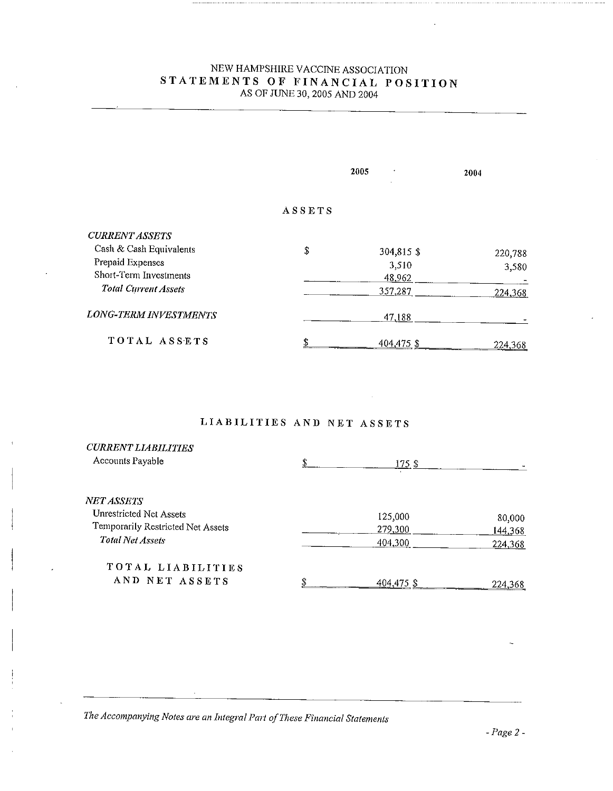### NEW HAMPSHIRE VACCINE ASSOCIATION STATEMENTS OF FINANCIAL POSITION AS OF JUNE 30,2005 AND 2004

|                              | 2005          |            | 2004    |  |
|------------------------------|---------------|------------|---------|--|
|                              | <b>ASSETS</b> |            |         |  |
| <b>CURRENT ASSETS</b>        |               |            |         |  |
| Cash & Cash Equivalents      | \$            | 304,815 \$ | 220,788 |  |
| Prepaid Expenses             |               | 3,510      | 3,580   |  |
| Short-Term Investments       |               | 48,962     |         |  |
| <b>Total Current Assets</b>  |               | 357,287    | 224,368 |  |
| <b>LONG-TERM INVESTMENTS</b> |               | 47.188     |         |  |
| TOTAL ASSETS                 | o             | 404,475 \$ | 224,368 |  |

# LIABILITIES AND NET ASSETS

| <b>CURRENT LIABILITIES</b><br>Accounts Payable                                    | \$<br>175 \$       |                   |
|-----------------------------------------------------------------------------------|--------------------|-------------------|
| NET ASSETS<br><b>Unrestricted Net Assets</b><br>Temporarily Restricted Net Assets | 125,000<br>279,300 | 80,000<br>144,368 |
| <b>Total Net Assets</b>                                                           | 404,300            | 224,368           |
| TOTAL LIABILITIES<br>AND NET ASSETS                                               | 404,475 \$         | 224,368           |

The Accompanying Notes are an Integral Part of These Financial Statements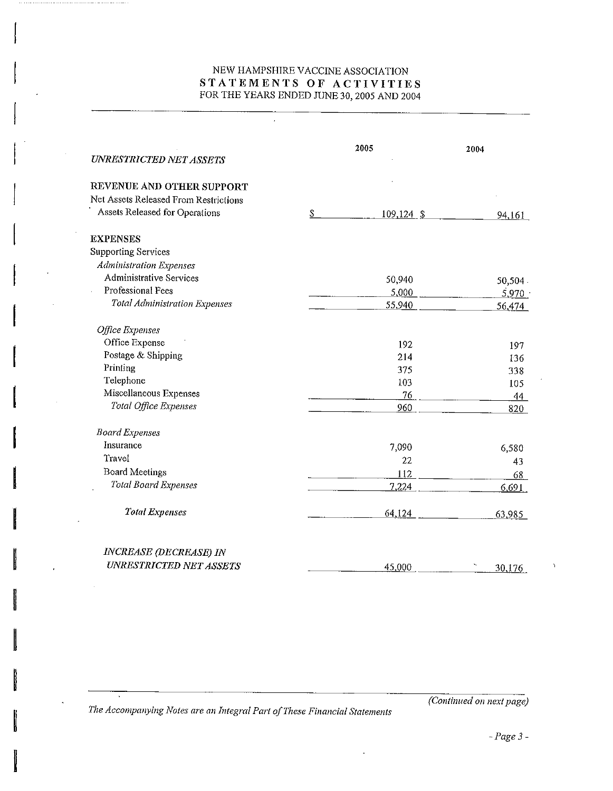### NEW HAMPSHIRE VACCINE ASSOCIATION STATEMENTS OF ACTIVITIES FOR THE YEARS ENDED JUNE 30,2005 AND 2004

 $\ddot{\phantom{a}}$ 

| UNRESTRICTED NET ASSETS               | 2005 |               | 2004    |  |
|---------------------------------------|------|---------------|---------|--|
| REVENUE AND OTHER SUPPORT             |      |               |         |  |
| Net Assets Released From Restrictions |      |               |         |  |
| Assets Released for Operations        | \$   | $109, 124$ \$ | 94,161  |  |
| <b>EXPENSES</b>                       |      |               |         |  |
| <b>Supporting Services</b>            |      |               |         |  |
| <b>Administration Expenses</b>        |      |               |         |  |
| <b>Administrative Services</b>        |      | 50,940        | 50,504. |  |
| Professional Fees                     |      | 5,000         | 5,970   |  |
| <b>Total Administration Expenses</b>  |      | 55,940        | 56,474  |  |
| Office Expenses                       |      |               |         |  |
| Office Expense                        |      | 192           | 197     |  |
| Postage & Shipping                    |      | 214           | 136     |  |
| Printing                              |      | 375           | 338     |  |
| Telephone                             |      | 103           | 105     |  |
| Miscellaneous Expenses                |      | 76            | 44      |  |
| Total Office Expenses                 |      | 960           | 820     |  |
| <b>Board Expenses</b>                 |      |               |         |  |
| Insurance                             |      | 7.090         | 6,580   |  |
| Travel                                |      | 22            | 43      |  |
| <b>Board Meetings</b>                 |      | 112           | 68      |  |
| Total Board Expenses                  |      | 7,224         | 6,691   |  |
| <b>Total Expenses</b>                 |      | 64,124        | 63,985  |  |
| <b>INCREASE (DECREASE) IN</b>         |      |               |         |  |
| <b>UNRESTRICTED NET ASSETS</b>        |      | 45,000        | 30,176  |  |

The Accompanying Notes are an Integra! Part of These Financial Statements

(Continued on next page)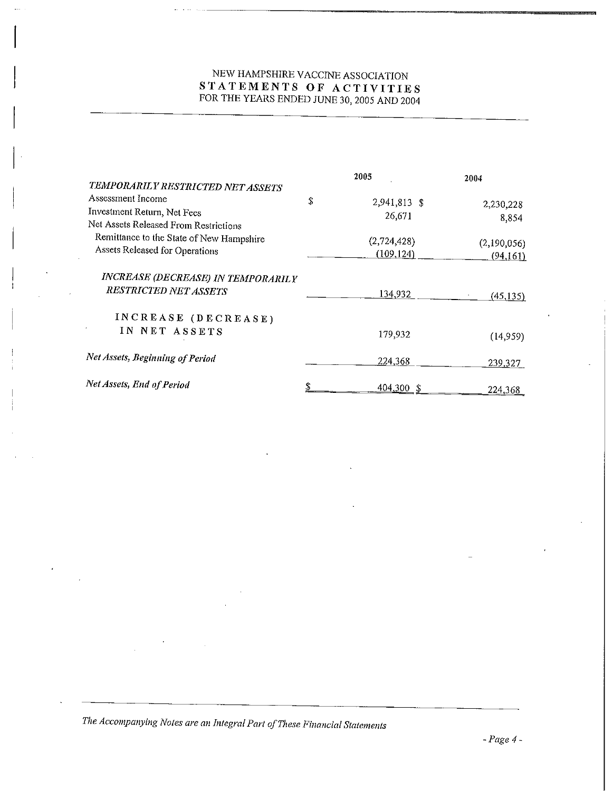# NEW HAMPSHIRE VACCINE ASSOCIATION STATEMENTS OF ACTIVITIES FOR THE YEARS ENDED JUNE 30, 2005 AND 2004

|                                                                    | 2005               | 2004        |
|--------------------------------------------------------------------|--------------------|-------------|
| TEMPORARILY RESTRICTED NET ASSETS                                  |                    |             |
| Assessment Income                                                  | \$<br>2,941,813 \$ | 2,230,228   |
| Investment Return, Net Fees                                        | 26,671             |             |
| Net Assets Released From Restrictions                              |                    | 8,854       |
| Remittance to the State of New Hampshire                           | (2,724,428)        | (2,190,056) |
| Assets Released for Operations                                     | (109, 124)         | (94, 161)   |
| INCREASE (DECREASE) IN TEMPORARILY<br><b>RESTRICTED NET ASSETS</b> |                    |             |
|                                                                    | 134,932            | (45, 135)   |
| INCREASE (DECREASE)                                                |                    |             |
| IN NET ASSETS                                                      | 179,932            | (14,959)    |
| Net Assets, Beginning of Period                                    | 224,368            | 239,327     |
| Net Assets, End of Period                                          | 404,300            | 224.368     |

The Accompanying Notes are an Integral Part of These Financial Statements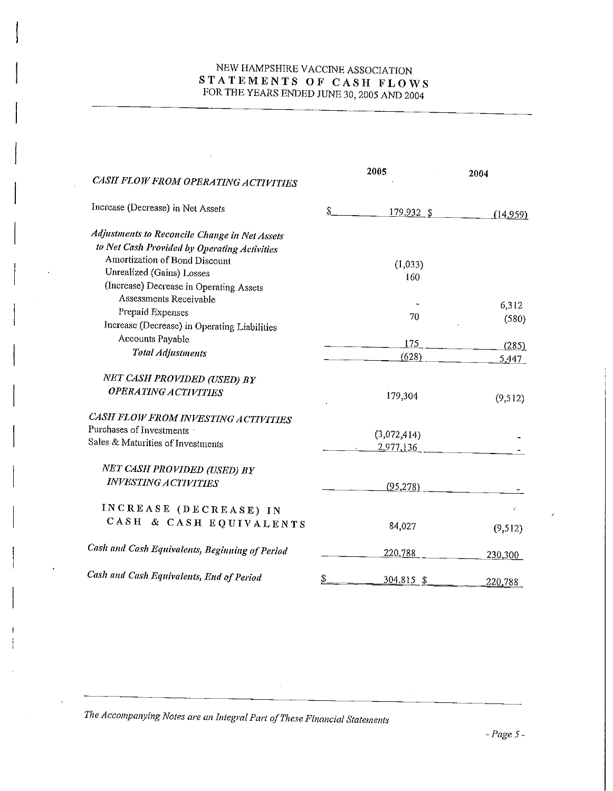# NEW HAMPSHIRE VACCINE ASSOCIATION STATEMENTS OF CASH FLOWS FOR THE YEARS ENDED JUNE 30, 2005 AND 2004

|                                                       |          | 2005         |          |
|-------------------------------------------------------|----------|--------------|----------|
| CASH FLOW FROM OPERATING ACTIVITIES                   |          |              | 2004     |
| Increase (Decrease) in Net Assets                     | \$       | $179,932$ \$ | (14.959) |
| Adjustments to Reconcile Change in Net Assets         |          |              |          |
| to Net Cash Provided by Operating Activities          |          |              |          |
| Amortization of Bond Discount                         |          | (1,033)      |          |
| Unrealized (Gains) Losses                             |          | 160          |          |
| (Increase) Decrease in Operating Assets               |          |              |          |
| Assessments Receivable                                |          |              |          |
| Prepaid Expenses                                      |          | 70           | 6,312    |
| Increase (Decrease) in Operating Liabilities          |          |              | (580)    |
| Accounts Payable                                      |          | 175          |          |
| <b>Total Adjustments</b>                              |          | (628)        | (285)    |
|                                                       |          |              | 5,447    |
| NET CASH PROVIDED (USED) BY                           |          |              |          |
| <b>OPERATING ACTIVITIES</b>                           |          | 179,304      | (9,512)  |
| CASH FLOW FROM INVESTING ACTIVITIES                   |          |              |          |
| Purchases of Investments                              |          |              |          |
| Sales & Maturities of Investments                     |          | (3,072,414)  |          |
|                                                       |          | 2,977,136    |          |
| NET CASH PROVIDED (USED) BY                           |          |              |          |
| <b>INVESTING ACTIVITIES</b>                           |          | (95, 278)    |          |
|                                                       |          |              |          |
| INCREASE (DECREASE) IN                                |          |              | ¢.       |
| CASH & CASH EQUIVALENTS                               |          |              |          |
|                                                       |          | 84,027       | (9,512)  |
| <b>Cash and Cash Equivalents, Beginning of Period</b> |          | 220,788      |          |
|                                                       |          |              | 230,300  |
| Cash and Cash Equivalents, End of Period              | <u>s</u> | $304,815$ \$ |          |
|                                                       |          |              | 220,788  |

The Accompanying Notes are an Integral Part of These Financial Statements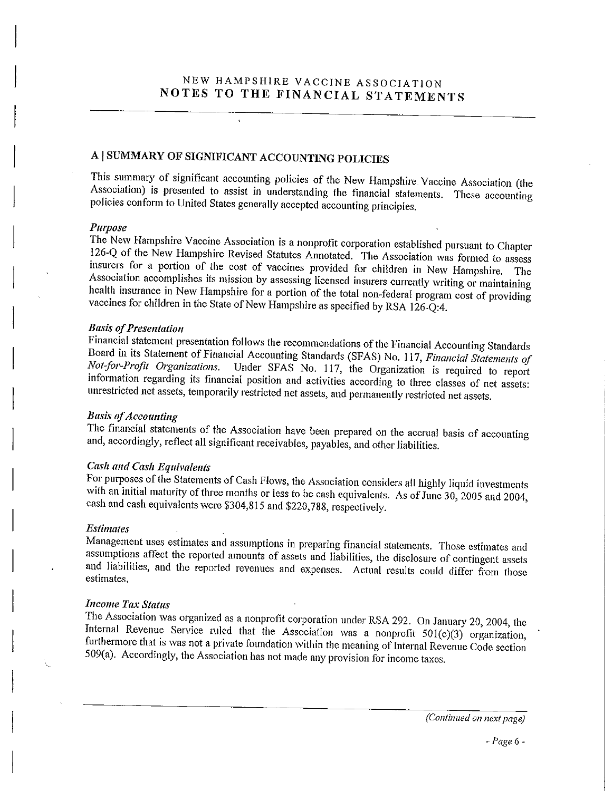# A | SUMMARY OF SIGNIFICANT ACCOUNTING POLICIES

This summary of significant accounting policies of the New Hampshire Vaccine Association (the Association) is presented to assist in understanding the financial statements. These accounting policies conform to United States generally accepted accounting principles.

#### Purpose

The New Hampshire Vaccine Association is a nonprofit corporation established pursuant to Chapter 126-Q of the New Hampshire Revised Statutes Annotated. The Association was formed to assess insurers for a portion of the cost of vaccines provided for children in New Hampshire. The Association accomplishes its mission by assessing licensed insurers currently writing or maintaining health insurance in New Hampshire for a portion of the total non-federal program cost of providing vaccines for children in the State of New Hampshire as specified by RSA 126-Q:4.

#### Basis of Presentation

Financial statement presentation follows the recommendations of the Financial Accounting Standards Board in its Statement of Financial Accounting Standards (SFAS) No. 117, Financial Statements of Not-for-Profit Organizations. Under SFAS No. 117, the Organization is required to report information regarding its financial position and activities according to three classes of net assets: unrestricted net assets, temporarily restricted net assets, and permanently restricted net assets.

#### **Basis of Accounting**

The financial statements of the Association have been prepared on the accrual basis of accounting and, accordingly, reflect all significant receivables, payables, and other liabilities.

### Cash and Cash Equivalents

For purposes of the Statements of Cash Flows, the Association considers all highly liquid investments with an initial maturity of three months or less to be cash equivalents. As of June 30, 2005 and 2004, cash and cash equivalents were \$304,815 and \$220,788, respectively.

#### Estimates

Management uses estimates and assumptions in preparing financial statements. Those estimates and ssumptions affect the reported amounts of assets and liabilities, the disclosure of contingent assets and liabilities, and the reported revenues and expenses. Actual results could differ from those estimates.

#### Income Tax Status

The Association was organized as a nonprofit corporation under RSA 292. On January 20, 2004, the Internal Revenue Service ruled that the Association was a nonprofit  $501(c)(3)$  organization, furthermore that is was not a private foundation within the meaning of Internal Revenue Code section 509(a). Accordingly, the Association has not made any provision for income taxes.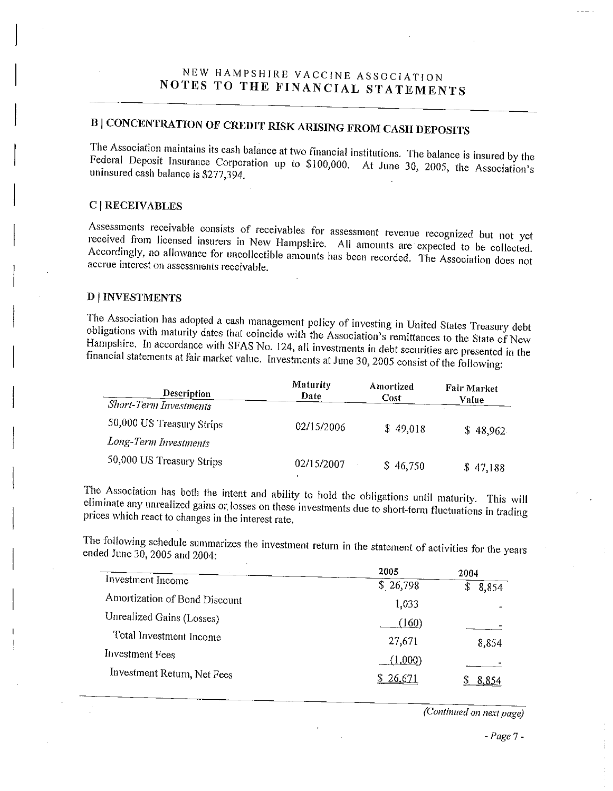# NEW HAMPSHIRE VACCINE ASSOCIATION NOTES TO THE FINANCIAL STATEMENTS

# B | CONCENTRATION OF CREDIT RISK ARISING FROM CASH DEPOSITS

The Association maintains its cash balance at two financial institutions. The balance is insured by the Federal Deposit Insurance Corporation up to \$100,000. At June 30, 2005, the Association's uninsured cash balance is \$277,394.

#### C | RECEIVABLES

Assessments receivable consists of receivables for assessment revenue recognized but not ver received from licensed insurers in New Hampshire. All amounts are expected to be collected. Accordingly, no allowance for uncollectible amounts has been recorded. The Association does not accrue interest on assessments receivable.

## D | INVESTMENTS

The Association has adopted a cash management policy of investing in United States Treasury debt obligations with maturity dates that coincide with the Association's remittances to the State of New Hampshire. In accordance with SFAS No. 124, all investments in debt securities are presented in the financial statements at fair market value. Investments at June 30,2005 consist of the following:

| Description                   | Maturity<br>Date | Amortized<br>Cost | <b>Fair Market</b><br>Value |
|-------------------------------|------------------|-------------------|-----------------------------|
| <b>Short-Term Investments</b> |                  |                   |                             |
| 50,000 US Treasury Strips     | 02/15/2006       | \$49,018          | \$48,962                    |
| Long-Term Investments         |                  |                   |                             |
| 50,000 US Treasury Strips     | 02/15/2007       | \$46,750          | \$47,188                    |

The Association has both the intent and ability to hold the obligations until maturity. This will eminimate any unrealized gams or losses on these investments due to short-term fluctuations in trading prices which react to changes in the interest rate.

The following schedule summarizes the investment return in the statement of activities for the *i*n ended June 30, 2005 and 2004:

|                               | 2005        | 2004         |
|-------------------------------|-------------|--------------|
| Investment Income             | \$26,798    | S<br>8,854   |
| Amortization of Bond Discount | 1,033       |              |
| Unrealized Gains (Losses)     | (160)       |              |
| Total Investment Income       | 27,671      | 8,854        |
| Investment Fees               | $(1,\!000)$ |              |
| Investment Return, Net Fees   | 26.671      | <u>8,854</u> |

(Continued on next page)